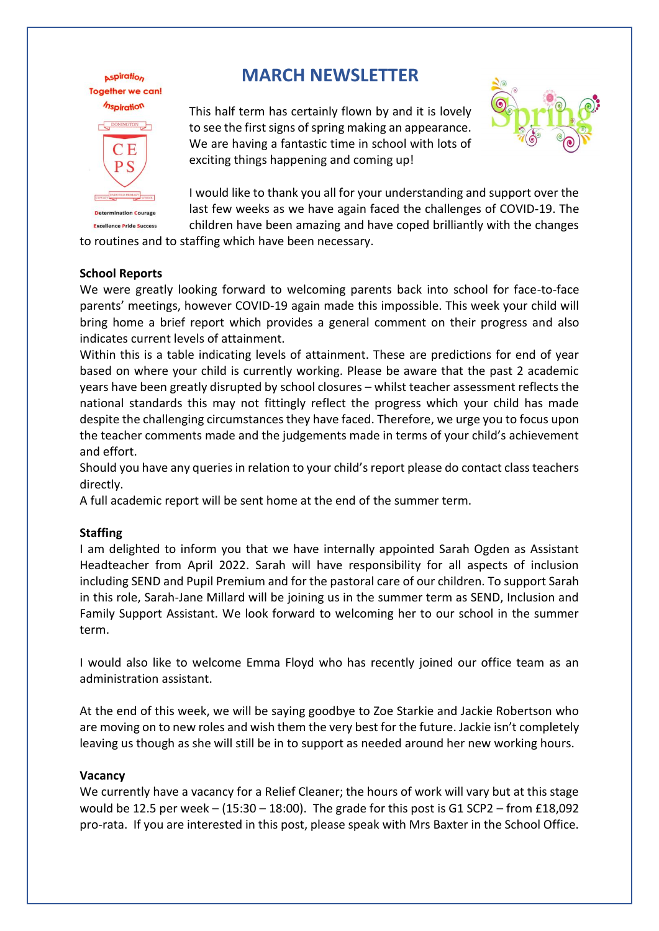

**Aspiration** 

**Excellence Pride Success** 

# **MARCH NEWSLETTER**

This half term has certainly flown by and it is lovely to see the first signs of spring making an appearance. We are having a fantastic time in school with lots of exciting things happening and coming up!



I would like to thank you all for your understanding and [support o](https://creativecommons.org/licenses/by-sa/3.0/)ver the last few weeks as we have again faced the challenges of COVID-19. The children have been amazing and have coped brilliantly with the changes

to routines and to staffing which have been necessary.

#### **School Reports**

We were greatly looking forward to welcoming parents back into school for face-to-face parents' meetings, however COVID-19 again made this impossible. This week your child will bring home a brief report which provides a general comment on their progress and also indicates current levels of attainment.

Within this is a table indicating levels of attainment. These are predictions for end of year based on where your child is currently working. Please be aware that the past 2 academic years have been greatly disrupted by school closures – whilst teacher assessment reflects the national standards this may not fittingly reflect the progress which your child has made despite the challenging circumstances they have faced. Therefore, we urge you to focus upon the teacher comments made and the judgements made in terms of your child's achievement and effort.

Should you have any queries in relation to your child's report please do contact class teachers directly.

A full academic report will be sent home at the end of the summer term.

#### **Staffing**

I am delighted to inform you that we have internally appointed Sarah Ogden as Assistant Headteacher from April 2022. Sarah will have responsibility for all aspects of inclusion including SEND and Pupil Premium and for the pastoral care of our children. To support Sarah in this role, Sarah-Jane Millard will be joining us in the summer term as SEND, Inclusion and Family Support Assistant. We look forward to welcoming her to our school in the summer term.

I would also like to welcome Emma Floyd who has recently joined our office team as an administration assistant.

At the end of this week, we will be saying goodbye to Zoe Starkie and Jackie Robertson who are moving on to new roles and wish them the very best for the future. Jackie isn't completely leaving us though as she will still be in to support as needed around her new working hours.

#### **Vacancy**

We currently have a vacancy for a Relief Cleaner; the hours of work will vary but at this stage would be 12.5 per week – (15:30 – 18:00). The grade for this post is G1 SCP2 – from £18,092 pro-rata. If you are interested in this post, please speak with Mrs Baxter in the School Office.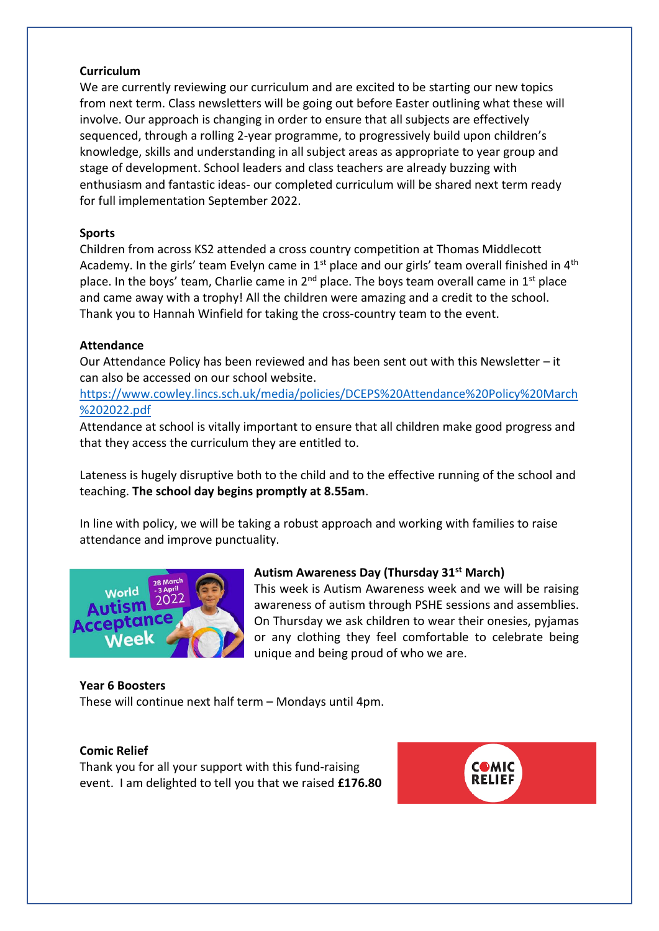### **Curriculum**

We are currently reviewing our curriculum and are excited to be starting our new topics from next term. Class newsletters will be going out before Easter outlining what these will involve. Our approach is changing in order to ensure that all subjects are effectively sequenced, through a rolling 2-year programme, to progressively build upon children's knowledge, skills and understanding in all subject areas as appropriate to year group and stage of development. School leaders and class teachers are already buzzing with enthusiasm and fantastic ideas- our completed curriculum will be shared next term ready for full implementation September 2022.

# **Sports**

Children from across KS2 attended a cross country competition at Thomas Middlecott Academy. In the girls' team Evelyn came in  $1<sup>st</sup>$  place and our girls' team overall finished in  $4<sup>th</sup>$ place. In the boys' team, Charlie came in  $2^{nd}$  place. The boys team overall came in  $1^{st}$  place and came away with a trophy! All the children were amazing and a credit to the school. Thank you to Hannah Winfield for taking the cross-country team to the event.

#### **Attendance**

Our Attendance Policy has been reviewed and has been sent out with this Newsletter  $-$  it can also be accessed on our school website.

[https://www.cowley.lincs.sch.uk/media/policies/DCEPS%20Attendance%20Policy%20March](https://www.cowley.lincs.sch.uk/media/policies/DCEPS%20Attendance%20Policy%20March%202022.pdf) [%202022.pdf](https://www.cowley.lincs.sch.uk/media/policies/DCEPS%20Attendance%20Policy%20March%202022.pdf)

Attendance at school is vitally important to ensure that all children make good progress and that they access the curriculum they are entitled to.

Lateness is hugely disruptive both to the child and to the effective running of the school and teaching. **The school day begins promptly at 8.55am**.

In line with policy, we will be taking a robust approach and working with families to raise attendance and improve punctuality.



# **Autism Awareness Day (Thursday 31st March)**

This week is Autism Awareness week and we will be raising awareness of autism through PSHE sessions and assemblies. On Thursday we ask children to wear their onesies, pyjamas or any clothing they feel comfortable to celebrate being unique and being proud of who we are.

# **Year 6 Boosters**

These will continue next half term – Mondays until 4pm.

#### **Comic Relief**

Thank you for all your support with this fund-raising event. I am delighted to tell you that we raised **£176.80**